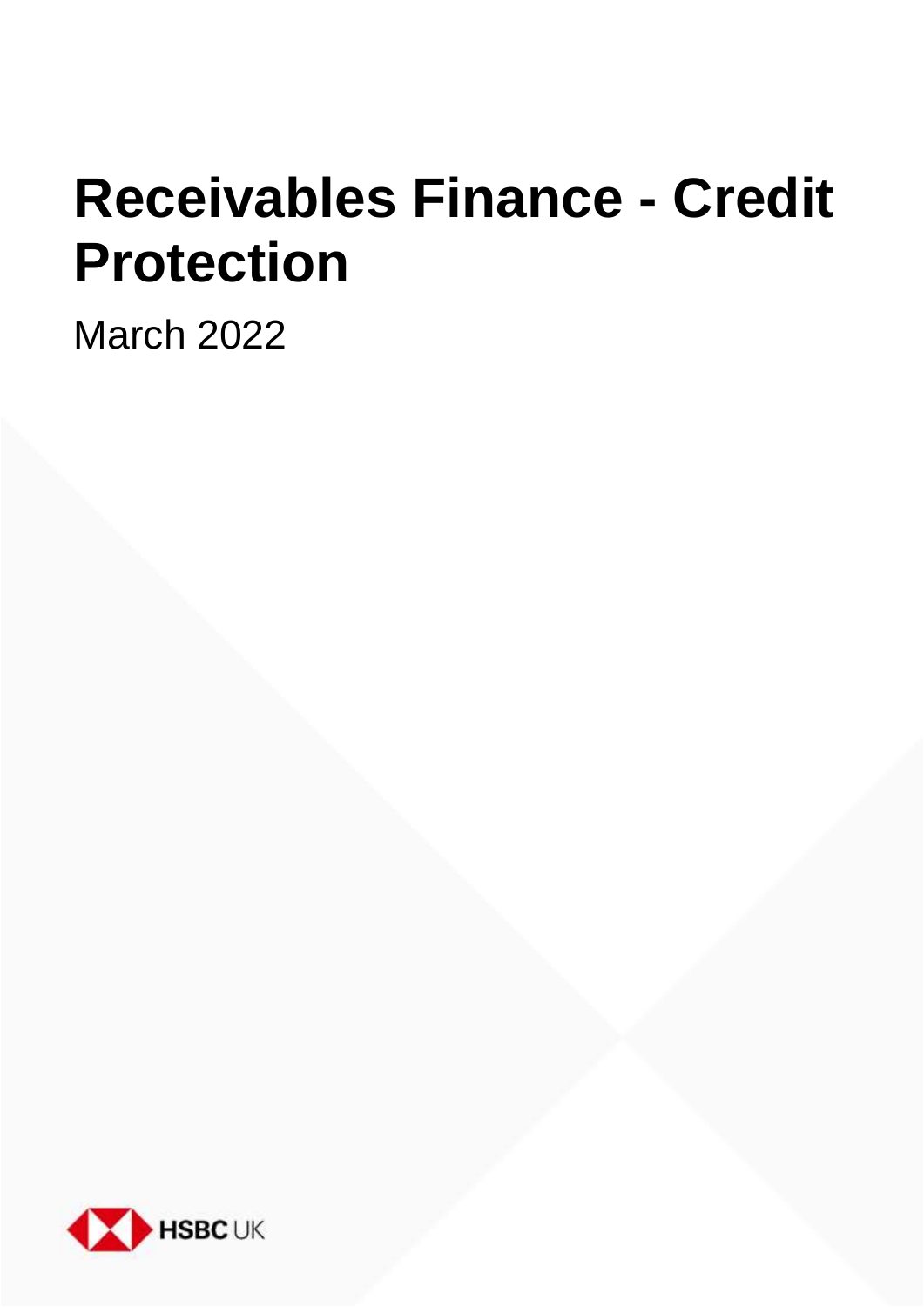# **Receivables Finance - Credit Protection**

March 2022

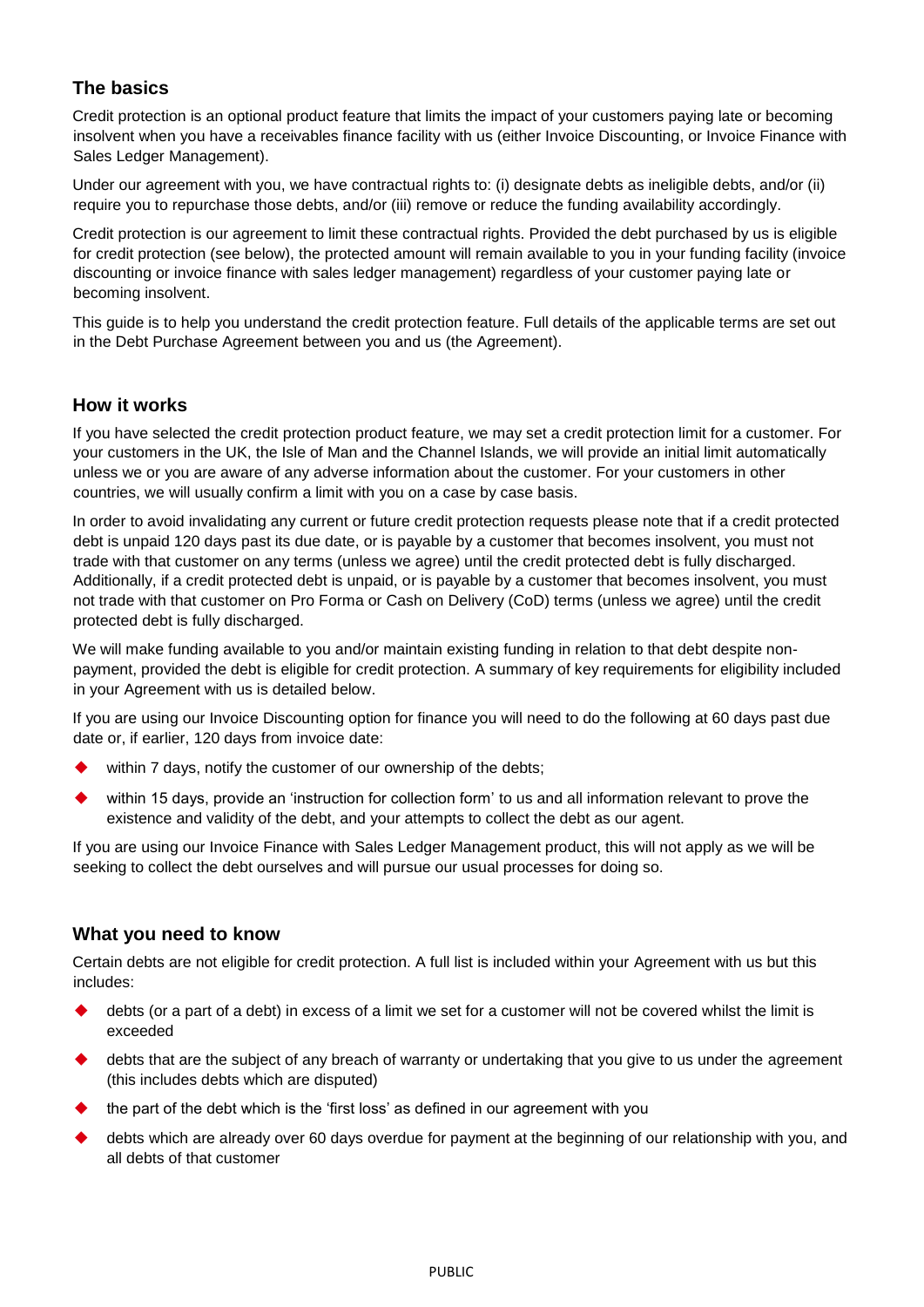## **The basics**

Credit protection is an optional product feature that limits the impact of your customers paying late or becoming insolvent when you have a receivables finance facility with us (either Invoice Discounting, or Invoice Finance with Sales Ledger Management).

Under our agreement with you, we have contractual rights to: (i) designate debts as ineligible debts, and/or (ii) require you to repurchase those debts, and/or (iii) remove or reduce the funding availability accordingly.

Credit protection is our agreement to limit these contractual rights. Provided the debt purchased by us is eligible for credit protection (see below), the protected amount will remain available to you in your funding facility (invoice discounting or invoice finance with sales ledger management) regardless of your customer paying late or becoming insolvent.

This guide is to help you understand the credit protection feature. Full details of the applicable terms are set out in the Debt Purchase Agreement between you and us (the Agreement).

### **How it works**

If you have selected the credit protection product feature, we may set a credit protection limit for a customer. For your customers in the UK, the Isle of Man and the Channel Islands, we will provide an initial limit automatically unless we or you are aware of any adverse information about the customer. For your customers in other countries, we will usually confirm a limit with you on a case by case basis.

In order to avoid invalidating any current or future credit protection requests please note that if a credit protected debt is unpaid 120 days past its due date, or is payable by a customer that becomes insolvent, you must not trade with that customer on any terms (unless we agree) until the credit protected debt is fully discharged. Additionally, if a credit protected debt is unpaid, or is payable by a customer that becomes insolvent, you must not trade with that customer on Pro Forma or Cash on Delivery (CoD) terms (unless we agree) until the credit protected debt is fully discharged.

We will make funding available to you and/or maintain existing funding in relation to that debt despite nonpayment, provided the debt is eligible for credit protection. A summary of key requirements for eligibility included in your Agreement with us is detailed below.

If you are using our Invoice Discounting option for finance you will need to do the following at 60 days past due date or, if earlier, 120 days from invoice date:

- within 7 days, notify the customer of our ownership of the debts;
- within 15 days, provide an 'instruction for collection form' to us and all information relevant to prove the existence and validity of the debt, and your attempts to collect the debt as our agent.

If you are using our Invoice Finance with Sales Ledger Management product, this will not apply as we will be seeking to collect the debt ourselves and will pursue our usual processes for doing so.

### **What you need to know**

Certain debts are not eligible for credit protection. A full list is included within your Agreement with us but this includes:

- debts (or a part of a debt) in excess of a limit we set for a customer will not be covered whilst the limit is exceeded
- debts that are the subject of any breach of warranty or undertaking that you give to us under the agreement (this includes debts which are disputed)
- the part of the debt which is the 'first loss' as defined in our agreement with you
- debts which are already over 60 days overdue for payment at the beginning of our relationship with you, and all debts of that customer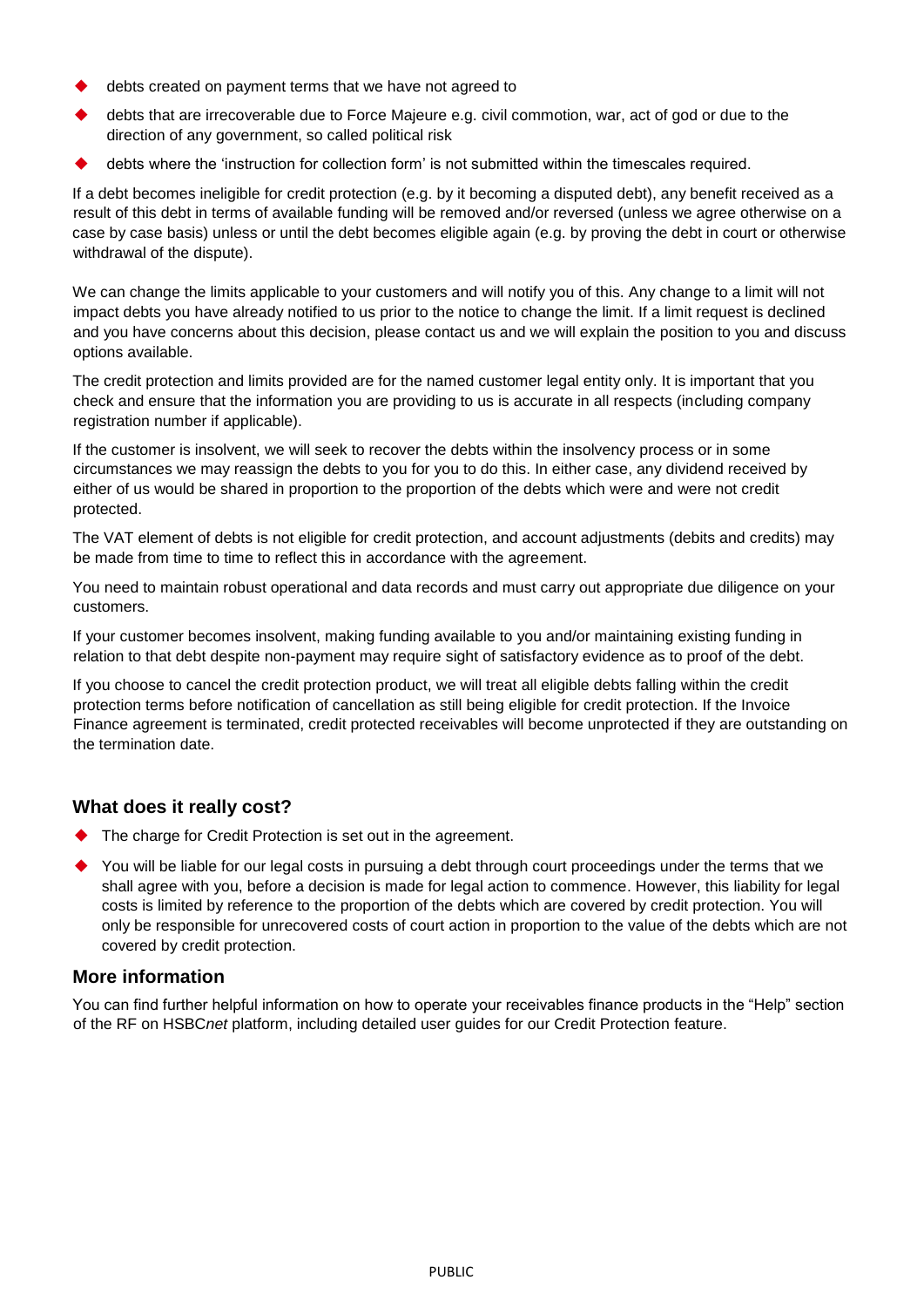- debts created on payment terms that we have not agreed to
- debts that are irrecoverable due to Force Majeure e.g. civil commotion, war, act of god or due to the direction of any government, so called political risk
- debts where the 'instruction for collection form' is not submitted within the timescales required.

If a debt becomes ineligible for credit protection (e.g. by it becoming a disputed debt), any benefit received as a result of this debt in terms of available funding will be removed and/or reversed (unless we agree otherwise on a case by case basis) unless or until the debt becomes eligible again (e.g. by proving the debt in court or otherwise withdrawal of the dispute).

We can change the limits applicable to your customers and will notify you of this. Any change to a limit will not impact debts you have already notified to us prior to the notice to change the limit. If a limit request is declined and you have concerns about this decision, please contact us and we will explain the position to you and discuss options available.

The credit protection and limits provided are for the named customer legal entity only. It is important that you check and ensure that the information you are providing to us is accurate in all respects (including company registration number if applicable).

If the customer is insolvent, we will seek to recover the debts within the insolvency process or in some circumstances we may reassign the debts to you for you to do this. In either case, any dividend received by either of us would be shared in proportion to the proportion of the debts which were and were not credit protected.

The VAT element of debts is not eligible for credit protection, and account adjustments (debits and credits) may be made from time to time to reflect this in accordance with the agreement.

You need to maintain robust operational and data records and must carry out appropriate due diligence on your customers.

If your customer becomes insolvent, making funding available to you and/or maintaining existing funding in relation to that debt despite non-payment may require sight of satisfactory evidence as to proof of the debt.

If you choose to cancel the credit protection product, we will treat all eligible debts falling within the credit protection terms before notification of cancellation as still being eligible for credit protection. If the Invoice Finance agreement is terminated, credit protected receivables will become unprotected if they are outstanding on the termination date.

### **What does it really cost?**

- The charge for Credit Protection is set out in the agreement.
- You will be liable for our legal costs in pursuing a debt through court proceedings under the terms that we shall agree with you, before a decision is made for legal action to commence. However, this liability for legal costs is limited by reference to the proportion of the debts which are covered by credit protection. You will only be responsible for unrecovered costs of court action in proportion to the value of the debts which are not covered by credit protection.

### **More information**

You can find further helpful information on how to operate your receivables finance products in the "Help" section of the RF on HSBC*net* platform, including detailed user guides for our Credit Protection feature.